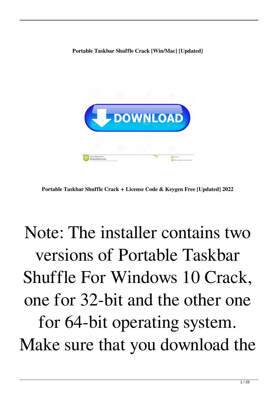#### **Portable Taskbar Shuffle Crack [Win/Mac] [Updated]**



**Portable Taskbar Shuffle Crack + License Code & Keygen Free [Updated] 2022**

# Note: The installer contains two versions of Portable Taskbar Shuffle For Windows 10 Crack, one for 32-bit and the other one for 64-bit operating system. Make sure that you download the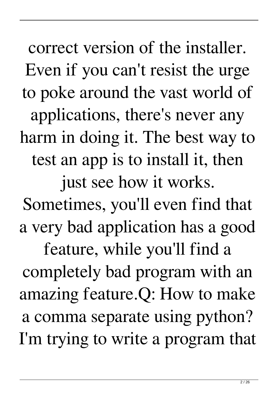correct version of the installer. Even if you can't resist the urge to poke around the vast world of applications, there's never any harm in doing it. The best way to test an app is to install it, then just see how it works. Sometimes, you'll even find that a very bad application has a good feature, while you'll find a completely bad program with an amazing feature.Q: How to make a comma separate using python? I'm trying to write a program that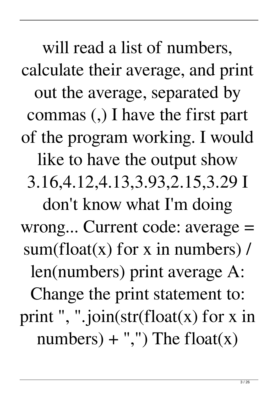will read a list of numbers, calculate their average, and print out the average, separated by commas (,) I have the first part of the program working. I would like to have the output show 3.16,4.12,4.13,3.93,2.15,3.29 I don't know what I'm doing wrong... Current code: average = sum(float(x) for x in numbers) / len(numbers) print average A: Change the print statement to: print ", ".join(str(float(x) for x in numbers)  $+$  ",") The float(x)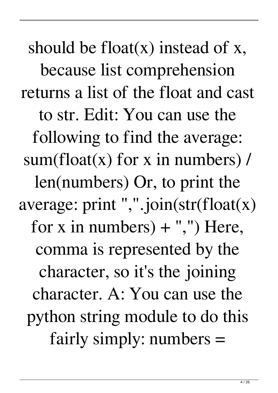should be float $(x)$  instead of x, because list comprehension returns a list of the float and cast to str. Edit: You can use the following to find the average: sum(float(x) for x in numbers) / len(numbers) Or, to print the average: print ",".join(str(float(x) for x in numbers)  $+$  ",") Here, comma is represented by the character, so it's the joining character. A: You can use the python string module to do this fairly simply: numbers =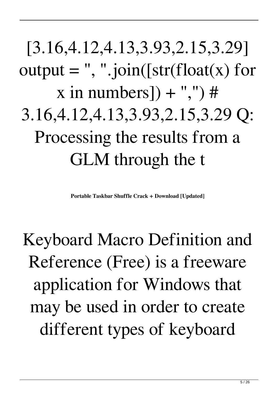[3.16,4.12,4.13,3.93,2.15,3.29] output = ", ".join( $[str(float(x) for$  $x$  in numbers]) + ",") # 3.16,4.12,4.13,3.93,2.15,3.29 Q: Processing the results from a GLM through the t

**Portable Taskbar Shuffle Crack + Download [Updated]**

Keyboard Macro Definition and Reference (Free) is a freeware application for Windows that may be used in order to create different types of keyboard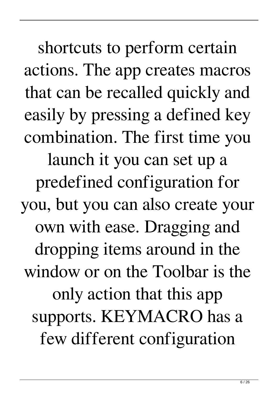shortcuts to perform certain actions. The app creates macros that can be recalled quickly and easily by pressing a defined key combination. The first time you launch it you can set up a predefined configuration for you, but you can also create your own with ease. Dragging and dropping items around in the window or on the Toolbar is the only action that this app supports. KEYMACRO has a few different configuration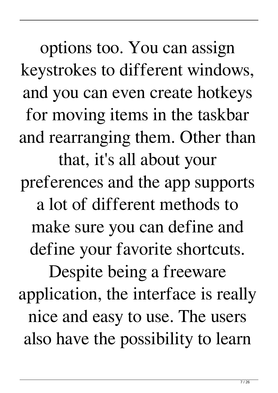options too. You can assign keystrokes to different windows, and you can even create hotkeys for moving items in the taskbar and rearranging them. Other than that, it's all about your preferences and the app supports a lot of different methods to make sure you can define and define your favorite shortcuts. Despite being a freeware application, the interface is really nice and easy to use. The users also have the possibility to learn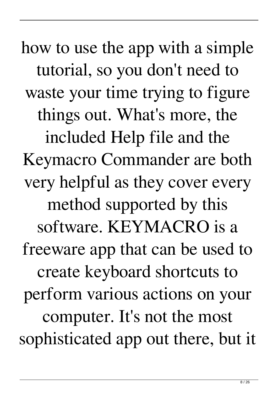how to use the app with a simple tutorial, so you don't need to waste your time trying to figure things out. What's more, the included Help file and the Keymacro Commander are both very helpful as they cover every method supported by this software. KEYMACRO is a freeware app that can be used to create keyboard shortcuts to perform various actions on your computer. It's not the most sophisticated app out there, but it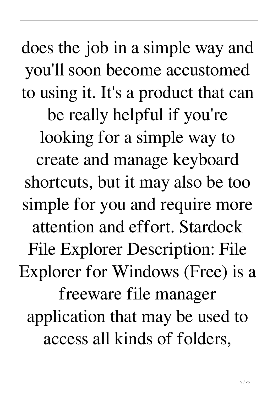does the job in a simple way and you'll soon become accustomed to using it. It's a product that can be really helpful if you're looking for a simple way to create and manage keyboard shortcuts, but it may also be too simple for you and require more attention and effort. Stardock File Explorer Description: File Explorer for Windows (Free) is a freeware file manager application that may be used to access all kinds of folders,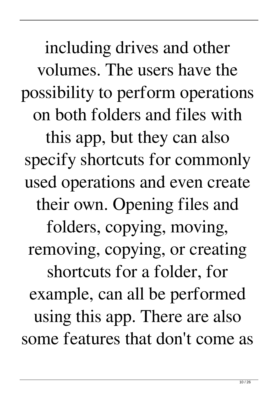including drives and other volumes. The users have the possibility to perform operations on both folders and files with this app, but they can also specify shortcuts for commonly used operations and even create their own. Opening files and folders, copying, moving, removing, copying, or creating shortcuts for a folder, for example, can all be performed using this app. There are also some features that don't come as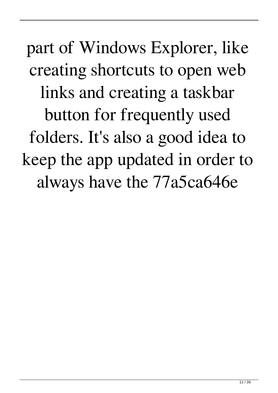part of Windows Explorer, like creating shortcuts to open web links and creating a taskbar button for frequently used folders. It's also a good idea to keep the app updated in order to always have the 77a5ca646e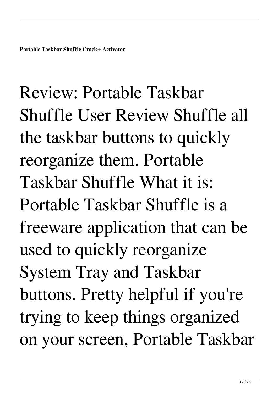Review: Portable Taskbar Shuffle User Review Shuffle all the taskbar buttons to quickly reorganize them. Portable Taskbar Shuffle What it is: Portable Taskbar Shuffle is a freeware application that can be used to quickly reorganize System Tray and Taskbar buttons. Pretty helpful if you're trying to keep things organized on your screen, Portable Taskbar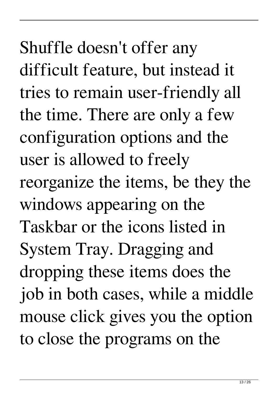Shuffle doesn't offer any difficult feature, but instead it tries to remain user-friendly all the time. There are only a few configuration options and the user is allowed to freely reorganize the items, be they the windows appearing on the Taskbar or the icons listed in System Tray. Dragging and dropping these items does the job in both cases, while a middle mouse click gives you the option to close the programs on the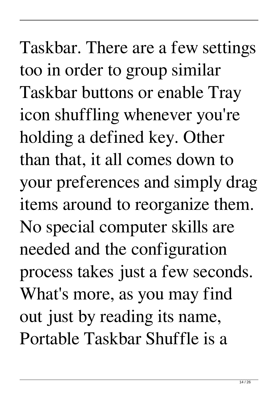Taskbar. There are a few settings too in order to group similar Taskbar buttons or enable Tray icon shuffling whenever you're holding a defined key. Other than that, it all comes down to your preferences and simply drag items around to reorganize them. No special computer skills are needed and the configuration process takes just a few seconds. What's more, as you may find out just by reading its name, Portable Taskbar Shuffle is a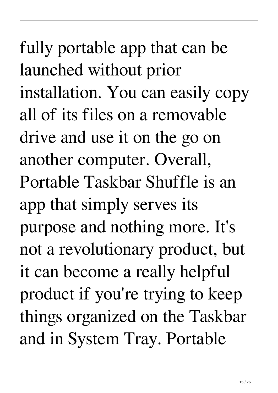fully portable app that can be launched without prior installation. You can easily copy all of its files on a removable drive and use it on the go on another computer. Overall, Portable Taskbar Shuffle is an app that simply serves its purpose and nothing more. It's not a revolutionary product, but it can become a really helpful product if you're trying to keep things organized on the Taskbar and in System Tray. Portable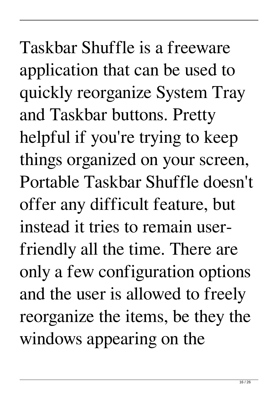Taskbar Shuffle is a freeware application that can be used to quickly reorganize System Tray and Taskbar buttons. Pretty helpful if you're trying to keep things organized on your screen, Portable Taskbar Shuffle doesn't offer any difficult feature, but instead it tries to remain userfriendly all the time. There are only a few configuration options and the user is allowed to freely reorganize the items, be they the windows appearing on the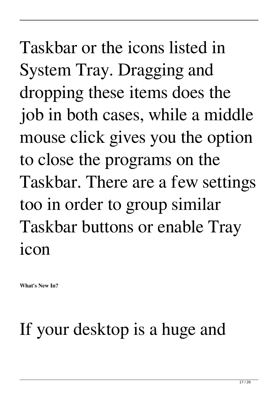Taskbar or the icons listed in System Tray. Dragging and dropping these items does the job in both cases, while a middle mouse click gives you the option to close the programs on the Taskbar. There are a few settings too in order to group similar Taskbar buttons or enable Tray icon

**What's New In?**

### If your desktop is a huge and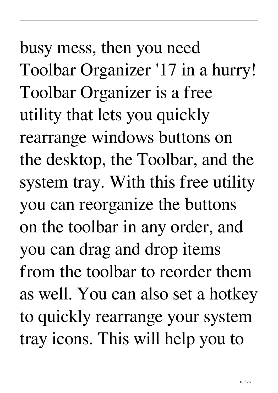busy mess, then you need Toolbar Organizer '17 in a hurry! Toolbar Organizer is a free utility that lets you quickly rearrange windows buttons on the desktop, the Toolbar, and the system tray. With this free utility you can reorganize the buttons on the toolbar in any order, and you can drag and drop items from the toolbar to reorder them as well. You can also set a hotkey to quickly rearrange your system tray icons. This will help you to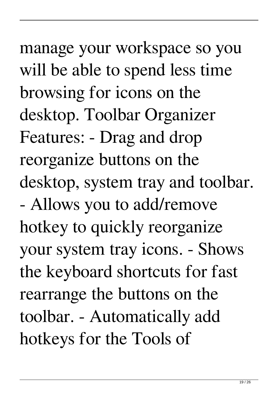manage your workspace so you will be able to spend less time browsing for icons on the desktop. Toolbar Organizer Features: - Drag and drop reorganize buttons on the desktop, system tray and toolbar. - Allows you to add/remove hotkey to quickly reorganize your system tray icons. - Shows the keyboard shortcuts for fast rearrange the buttons on the toolbar. - Automatically add hotkeys for the Tools of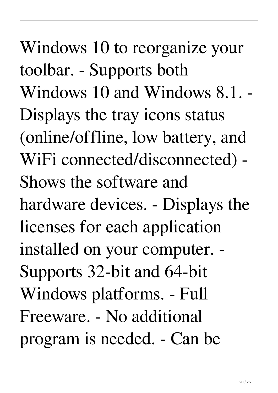Windows 10 to reorganize your toolbar. - Supports both Windows 10 and Windows 8.1. - Displays the tray icons status (online/offline, low battery, and WiFi connected/disconnected) - Shows the software and hardware devices. - Displays the licenses for each application installed on your computer. - Supports 32-bit and 64-bit Windows platforms. - Full Freeware. - No additional program is needed. - Can be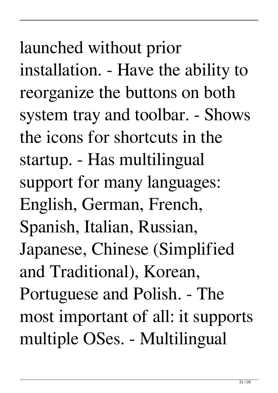launched without prior installation. - Have the ability to reorganize the buttons on both system tray and toolbar. - Shows the icons for shortcuts in the startup. - Has multilingual support for many languages: English, German, French, Spanish, Italian, Russian, Japanese, Chinese (Simplified and Traditional), Korean, Portuguese and Polish. - The most important of all: it supports multiple OSes. - Multilingual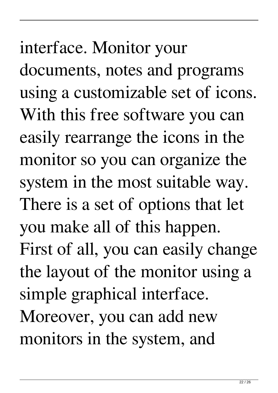interface. Monitor your documents, notes and programs using a customizable set of icons. With this free software you can easily rearrange the icons in the monitor so you can organize the system in the most suitable way. There is a set of options that let you make all of this happen. First of all, you can easily change the layout of the monitor using a simple graphical interface. Moreover, you can add new monitors in the system, and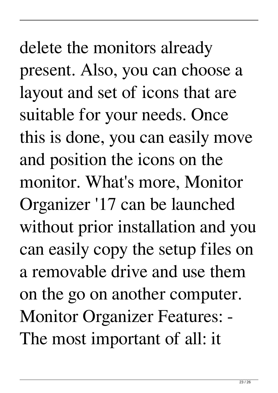delete the monitors already present. Also, you can choose a layout and set of icons that are suitable for your needs. Once this is done, you can easily move and position the icons on the monitor. What's more, Monitor Organizer '17 can be launched without prior installation and you can easily copy the setup files on a removable drive and use them on the go on another computer. Monitor Organizer Features: - The most important of all: it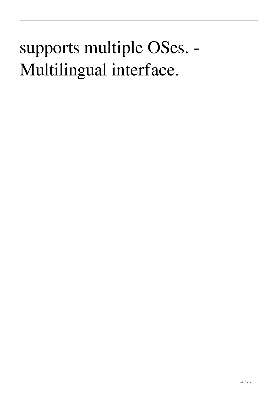## supports multiple OSes. - Multilingual interface.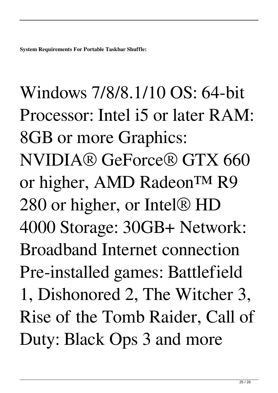**System Requirements For Portable Taskbar Shuffle:**

Windows 7/8/8.1/10 OS: 64-bit Processor: Intel i5 or later RAM: 8GB or more Graphics: NVIDIA® GeForce® GTX 660 or higher, AMD Radeon™ R9 280 or higher, or Intel® HD 4000 Storage: 30GB+ Network: Broadband Internet connection Pre-installed games: Battlefield 1, Dishonored 2, The Witcher 3, Rise of the Tomb Raider, Call of Duty: Black Ops 3 and more